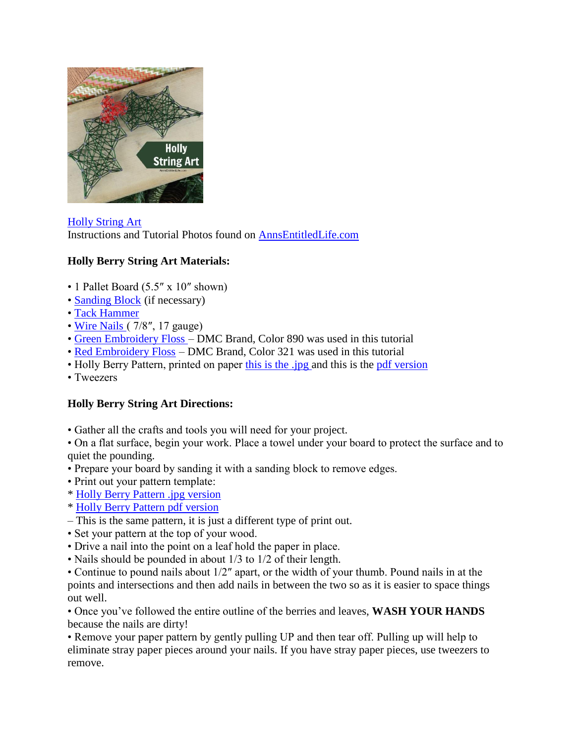

[Holly String Art](http://www.annsentitledlife.com/holidays/holly-berry-string-art/) Instructions and Tutorial Photos found on [AnnsEntitledLife.com](http://www.annsentitledlife.com/holidays/holly-berry-string-art/)

## **Holly Berry String Art Materials:**

- 1 Pallet Board (5.5" x 10" shown)
- • [Sanding Block](http://www.amazon.com/s/?_encoding=UTF8&camp=1789&creative=9325&field-keywords=sanding%20block&linkCode=ur2&tag=coudeaandmor-20&url=search-alias%3Daps&linkId=5IRWL6I3FBENYGDX) (if necessary)
- • [Tack Hammer](http://www.amazon.com/s/?_encoding=UTF8&camp=1789&creative=9325&field-keywords=tack%20hammer&linkCode=ur2&tag=coudeaandmor-20&url=search-alias%3Daps&linkId=DX5AOU5Q2LY4WVJV)
- • [Wire Nails \(](http://www.amazon.com/National-Hardware-V7710-Nails-Galvanized/dp/B005MJFYXM/?_encoding=UTF8&camp=1789&creative=9325&linkCode=ur2&tag=coudeaandmor-20&linkId=J7PZVUXTKVBFYHIH) 7/8", 17 gauge)
- • [Green Embroidery Floss –](https://www.amazon.com/gp/product/B003WMFLL6/ref=as_li_tl?ie=UTF8&camp=1789&creative=9325&creativeASIN=B003WMFLL6&linkCode=as2&tag=coudeaandmor-20&linkId=b454122d3bf41bcba35c3c361545a1b0) DMC Brand, Color 890 was used in this tutorial
- • [Red Embroidery Floss](https://www.amazon.com/gp/product/B001E5S1O2/ref=as_li_tl?ie=UTF8&camp=1789&creative=9325&creativeASIN=B001E5S1O2&linkCode=as2&tag=coudeaandmor-20&linkId=c6bdfa3fb2fdc2798743842ee5723b61) DMC Brand, Color 321 was used in this tutorial
- Holly Berry Pattern, printed on paper [this is the .jpg a](http://www.annsentitledlife.com/wp-content/uploads/2016/11/Holly-String-Pattern.jpg)nd this is the [pdf version](http://www.annsentitledlife.com/wp-content/uploads/2016/11/holly-string-art.pdf)
- Tweezers

## **Holly Berry String Art Directions:**

• Gather all the crafts and tools you will need for your project.

• On a flat surface, begin your work. Place a towel under your board to protect the surface and to quiet the pounding.

- Prepare your board by sanding it with a sanding block to remove edges.
- Print out your pattern template:
- \* [Holly Berry Pattern .jpg version](http://www.annsentitledlife.com/wp-content/uploads/2016/11/Holly-String-Pattern.jpg)
- \* [Holly Berry Pattern pdf version](http://www.annsentitledlife.com/wp-content/uploads/2016/11/holly-string-art.pdf)
- This is the same pattern, it is just a different type of print out.
- Set your pattern at the top of your wood.
- Drive a nail into the point on a leaf hold the paper in place.
- Nails should be pounded in about 1/3 to 1/2 of their length.

• Continue to pound nails about 1/2″ apart, or the width of your thumb. Pound nails in at the points and intersections and then add nails in between the two so as it is easier to space things out well.

• Once you've followed the entire outline of the berries and leaves, **WASH YOUR HANDS**  because the nails are dirty!

• Remove your paper pattern by gently pulling UP and then tear off. Pulling up will help to eliminate stray paper pieces around your nails. If you have stray paper pieces, use tweezers to remove.